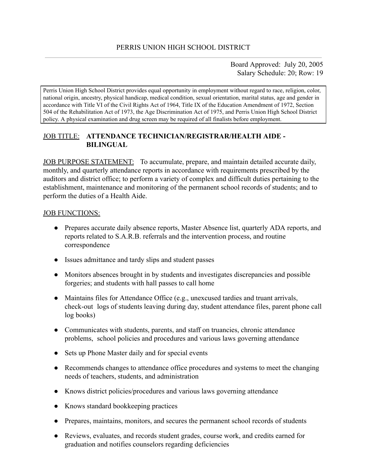Board Approved: July 20, 2005 Salary Schedule: 20; Row: 19

Perris Union High School District provides equal opportunity in employment without regard to race, religion, color, national origin, ancestry, physical handicap, medical condition, sexual orientation, marital status, age and gender in accordance with Title VI of the Civil Rights Act of 1964, Title IX of the Education Amendment of 1972, Section 504 of the Rehabilitation Act of 1973, the Age Discrimination Act of 1975, and Perris Union High School District policy. A physical examination and drug screen may be required of all finalists before employment.

## JOB TITLE: **ATTENDANCE TECHNICIAN/REGISTRAR/HEALTH AIDE - BILINGUAL**

JOB PURPOSE STATEMENT: To accumulate, prepare, and maintain detailed accurate daily, monthly, and quarterly attendance reports in accordance with requirements prescribed by the auditors and district office; to perform a variety of complex and difficult duties pertaining to the establishment, maintenance and monitoring of the permanent school records of students; and to perform the duties of a Health Aide.

#### **JOB FUNCTIONS:**

- Prepares accurate daily absence reports, Master Absence list, quarterly ADA reports, and reports related to S.A.R.B. referrals and the intervention process, and routine correspondence
- Issues admittance and tardy slips and student passes
- Monitors absences brought in by students and investigates discrepancies and possible forgeries; and students with hall passes to call home
- Maintains files for Attendance Office (e.g., unexcused tardies and truant arrivals, check-out logs of students leaving during day, student attendance files, parent phone call log books)
- Communicates with students, parents, and staff on truancies, chronic attendance problems, school policies and procedures and various laws governing attendance
- Sets up Phone Master daily and for special events
- Recommends changes to attendance office procedures and systems to meet the changing needs of teachers, students, and administration
- Knows district policies/procedures and various laws governing attendance
- Knows standard bookkeeping practices
- Prepares, maintains, monitors, and secures the permanent school records of students
- Reviews, evaluates, and records student grades, course work, and credits earned for graduation and notifies counselors regarding deficiencies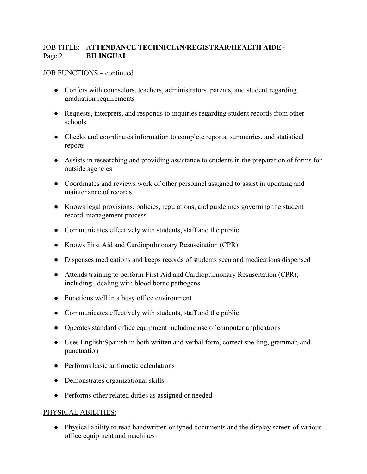## JOB TITLE: **ATTENDANCE TECHNICIAN/REGISTRAR/HEALTH AIDE -** Page 2 **BILINGUAL**

## JOB FUNCTIONS – continued

- Confers with counselors, teachers, administrators, parents, and student regarding graduation requirements
- Requests, interprets, and responds to inquiries regarding student records from other schools
- Checks and coordinates information to complete reports, summaries, and statistical reports
- Assists in researching and providing assistance to students in the preparation of forms for outside agencies
- Coordinates and reviews work of other personnel assigned to assist in updating and maintenance of records
- Knows legal provisions, policies, regulations, and guidelines governing the student record management process
- Communicates effectively with students, staff and the public
- Knows First Aid and Cardiopulmonary Resuscitation (CPR)
- Dispenses medications and keeps records of students seen and medications dispensed
- Attends training to perform First Aid and Cardiopulmonary Resuscitation (CPR), including dealing with blood borne pathogens
- Functions well in a busy office environment
- Communicates effectively with students, staff and the public
- Operates standard office equipment including use of computer applications
- Uses English/Spanish in both written and verbal form, correct spelling, grammar, and punctuation
- Performs basic arithmetic calculations
- Demonstrates organizational skills
- Performs other related duties as assigned or needed

## PHYSICAL ABILITIES:

● Physical ability to read handwritten or typed documents and the display screen of various office equipment and machines